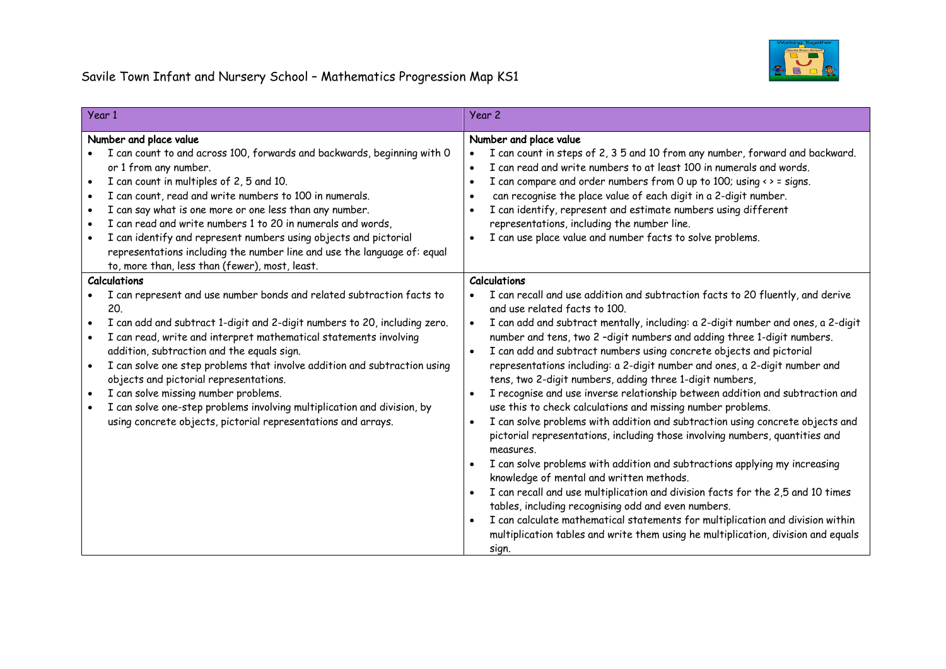| Year 1                                                                                                                                                                                                                                                                                                                                                                                                                                                                                                                                                                                                                                   | Year 2                                                                                                                                                                                                                                                                                                                                                                                                                                                                                                                                                                                                                                                                                                                                                                                                                                                                                                                                                                                                                                                                                                                                                                                                                                                                                                   |
|------------------------------------------------------------------------------------------------------------------------------------------------------------------------------------------------------------------------------------------------------------------------------------------------------------------------------------------------------------------------------------------------------------------------------------------------------------------------------------------------------------------------------------------------------------------------------------------------------------------------------------------|----------------------------------------------------------------------------------------------------------------------------------------------------------------------------------------------------------------------------------------------------------------------------------------------------------------------------------------------------------------------------------------------------------------------------------------------------------------------------------------------------------------------------------------------------------------------------------------------------------------------------------------------------------------------------------------------------------------------------------------------------------------------------------------------------------------------------------------------------------------------------------------------------------------------------------------------------------------------------------------------------------------------------------------------------------------------------------------------------------------------------------------------------------------------------------------------------------------------------------------------------------------------------------------------------------|
| Number and place value<br>I can count to and across 100, forwards and backwards, beginning with 0<br>or 1 from any number.<br>I can count in multiples of 2, 5 and 10.<br>$\bullet$<br>I can count, read and write numbers to 100 in numerals.<br>I can say what is one more or one less than any number.<br>$\bullet$<br>I can read and write numbers 1 to 20 in numerals and words,<br>I can identify and represent numbers using objects and pictorial<br>representations including the number line and use the language of: equal<br>to, more than, less than (fewer), most, least.                                                  | Number and place value<br>I can count in steps of 2, 3 5 and 10 from any number, forward and backward.<br>I can read and write numbers to at least 100 in numerals and words.<br>$\bullet$<br>I can compare and order numbers from 0 up to 100; using $\leftrightarrow$ = signs.<br>can recognise the place value of each digit in a 2-digit number.<br>I can identify, represent and estimate numbers using different<br>representations, including the number line.<br>I can use place value and number facts to solve problems.                                                                                                                                                                                                                                                                                                                                                                                                                                                                                                                                                                                                                                                                                                                                                                       |
| <b>Calculations</b><br>I can represent and use number bonds and related subtraction facts to<br>20.<br>I can add and subtract 1-digit and 2-digit numbers to 20, including zero.<br>$\bullet$<br>I can read, write and interpret mathematical statements involving<br>addition, subtraction and the equals sign.<br>I can solve one step problems that involve addition and subtraction using<br>$\bullet$<br>objects and pictorial representations.<br>I can solve missing number problems.<br>I can solve one-step problems involving multiplication and division, by<br>using concrete objects, pictorial representations and arrays. | <b>Calculations</b><br>I can recall and use addition and subtraction facts to 20 fluently, and derive<br>and use related facts to 100.<br>I can add and subtract mentally, including: a 2-digit number and ones, a 2-digit<br>number and tens, two 2 -digit numbers and adding three 1-digit numbers.<br>I can add and subtract numbers using concrete objects and pictorial<br>representations including: a 2-digit number and ones, a 2-digit number and<br>tens, two 2-digit numbers, adding three 1-digit numbers,<br>I recognise and use inverse relationship between addition and subtraction and<br>use this to check calculations and missing number problems.<br>I can solve problems with addition and subtraction using concrete objects and<br>pictorial representations, including those involving numbers, quantities and<br>measures.<br>I can solve problems with addition and subtractions applying my increasing<br>knowledge of mental and written methods.<br>I can recall and use multiplication and division facts for the 2,5 and 10 times<br>tables, including recognising odd and even numbers.<br>I can calculate mathematical statements for multiplication and division within<br>multiplication tables and write them using he multiplication, division and equals<br>sign. |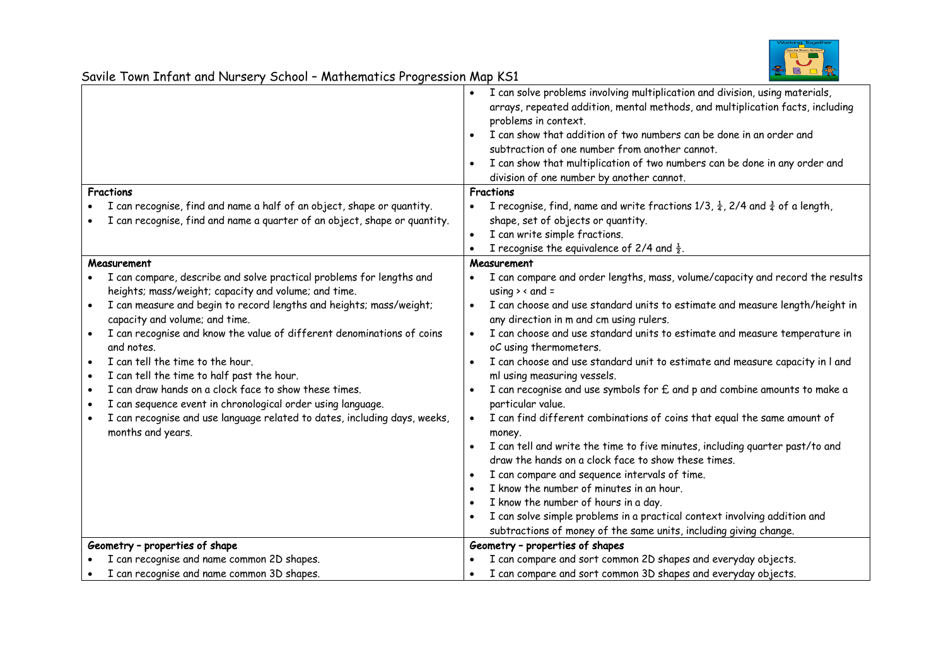

## Savile Town Infant and Nursery School – Mathematics Progression Map KS1

|                                                                                                | I can solve problems involving multiplication and division, using materials,<br>arrays, repeated addition, mental methods, and multiplication facts, including<br>problems in context.<br>I can show that addition of two numbers can be done in an order and<br>subtraction of one number from another cannot.<br>I can show that multiplication of two numbers can be done in any order and<br>division of one number by another cannot. |
|------------------------------------------------------------------------------------------------|--------------------------------------------------------------------------------------------------------------------------------------------------------------------------------------------------------------------------------------------------------------------------------------------------------------------------------------------------------------------------------------------------------------------------------------------|
| Fractions                                                                                      | <b>Fractions</b>                                                                                                                                                                                                                                                                                                                                                                                                                           |
| I can recognise, find and name a half of an object, shape or quantity.                         | I recognise, find, name and write fractions $1/3$ , $\frac{1}{4}$ , 2/4 and $\frac{3}{4}$ of a length,                                                                                                                                                                                                                                                                                                                                     |
| I can recognise, find and name a quarter of an object, shape or quantity.                      | shape, set of objects or quantity.                                                                                                                                                                                                                                                                                                                                                                                                         |
|                                                                                                | I can write simple fractions.                                                                                                                                                                                                                                                                                                                                                                                                              |
|                                                                                                | I recognise the equivalence of 2/4 and $\frac{1}{2}$ .                                                                                                                                                                                                                                                                                                                                                                                     |
| Measurement                                                                                    | Measurement                                                                                                                                                                                                                                                                                                                                                                                                                                |
| I can compare, describe and solve practical problems for lengths and                           | I can compare and order lengths, mass, volume/capacity and record the results                                                                                                                                                                                                                                                                                                                                                              |
| heights; mass/weight; capacity and volume; and time.                                           | using $\rightarrow$ < and =                                                                                                                                                                                                                                                                                                                                                                                                                |
| I can measure and begin to record lengths and heights; mass/weight;                            | I can choose and use standard units to estimate and measure length/height in                                                                                                                                                                                                                                                                                                                                                               |
| capacity and volume; and time.                                                                 | any direction in m and cm using rulers.                                                                                                                                                                                                                                                                                                                                                                                                    |
| I can recognise and know the value of different denominations of coins                         | I can choose and use standard units to estimate and measure temperature in                                                                                                                                                                                                                                                                                                                                                                 |
| and notes.                                                                                     | oC using thermometers.                                                                                                                                                                                                                                                                                                                                                                                                                     |
| I can tell the time to the hour.                                                               | I can choose and use standard unit to estimate and measure capacity in I and                                                                                                                                                                                                                                                                                                                                                               |
| I can tell the time to half past the hour.                                                     | ml using measuring vessels.                                                                                                                                                                                                                                                                                                                                                                                                                |
| I can draw hands on a clock face to show these times.<br>$\bullet$                             | I can recognise and use symbols for £ and p and combine amounts to make a                                                                                                                                                                                                                                                                                                                                                                  |
| I can sequence event in chronological order using language.                                    | particular value.                                                                                                                                                                                                                                                                                                                                                                                                                          |
| I can recognise and use language related to dates, including days, weeks,<br>months and years. | I can find different combinations of coins that equal the same amount of<br>money.                                                                                                                                                                                                                                                                                                                                                         |
|                                                                                                | I can tell and write the time to five minutes, including quarter past/to and                                                                                                                                                                                                                                                                                                                                                               |
|                                                                                                | draw the hands on a clock face to show these times.                                                                                                                                                                                                                                                                                                                                                                                        |
|                                                                                                | I can compare and sequence intervals of time.                                                                                                                                                                                                                                                                                                                                                                                              |
|                                                                                                | I know the number of minutes in an hour.                                                                                                                                                                                                                                                                                                                                                                                                   |
|                                                                                                | I know the number of hours in a day.                                                                                                                                                                                                                                                                                                                                                                                                       |
|                                                                                                | I can solve simple problems in a practical context involving addition and                                                                                                                                                                                                                                                                                                                                                                  |
|                                                                                                | subtractions of money of the same units, including giving change.                                                                                                                                                                                                                                                                                                                                                                          |
| Geometry - properties of shape                                                                 | Geometry - properties of shapes                                                                                                                                                                                                                                                                                                                                                                                                            |
| I can recognise and name common 2D shapes.                                                     | I can compare and sort common 2D shapes and everyday objects.                                                                                                                                                                                                                                                                                                                                                                              |
| I can recognise and name common 3D shapes.                                                     | I can compare and sort common 3D shapes and everyday objects.                                                                                                                                                                                                                                                                                                                                                                              |